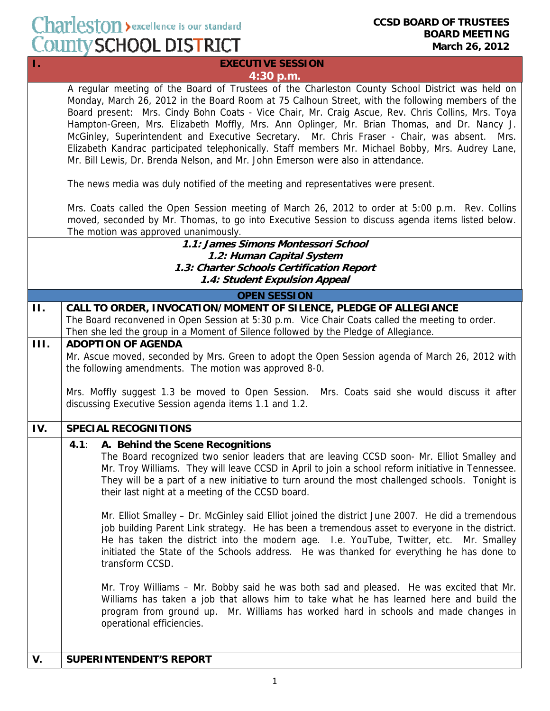## Charleston > excellence is our standard<br>County SCHOOL DISTRICT

## **CCSD BOARD OF TRUSTEES BOARD MEETING March 26, 2012**

| т.          | EVECALITAE SESSIAIA                                                                                                                                                                                                                                                                                                                                                                                                                                                                                                                                                                                                                                                                                                                                                                                                                                                                                                                                                                                                                                     |
|-------------|---------------------------------------------------------------------------------------------------------------------------------------------------------------------------------------------------------------------------------------------------------------------------------------------------------------------------------------------------------------------------------------------------------------------------------------------------------------------------------------------------------------------------------------------------------------------------------------------------------------------------------------------------------------------------------------------------------------------------------------------------------------------------------------------------------------------------------------------------------------------------------------------------------------------------------------------------------------------------------------------------------------------------------------------------------|
|             | $4:30$ p.m.<br>A regular meeting of the Board of Trustees of the Charleston County School District was held on<br>Monday, March 26, 2012 in the Board Room at 75 Calhoun Street, with the following members of the<br>Board present: Mrs. Cindy Bohn Coats - Vice Chair, Mr. Craig Ascue, Rev. Chris Collins, Mrs. Toya<br>Hampton-Green, Mrs. Elizabeth Moffly, Mrs. Ann Oplinger, Mr. Brian Thomas, and Dr. Nancy J.<br>McGinley, Superintendent and Executive Secretary. Mr. Chris Fraser - Chair, was absent.<br>Mrs.<br>Elizabeth Kandrac participated telephonically. Staff members Mr. Michael Bobby, Mrs. Audrey Lane,<br>Mr. Bill Lewis, Dr. Brenda Nelson, and Mr. John Emerson were also in attendance.<br>The news media was duly notified of the meeting and representatives were present.<br>Mrs. Coats called the Open Session meeting of March 26, 2012 to order at 5:00 p.m. Rev. Collins<br>moved, seconded by Mr. Thomas, to go into Executive Session to discuss agenda items listed below.<br>The motion was approved unanimously. |
|             | 1.1: James Simons Montessori School                                                                                                                                                                                                                                                                                                                                                                                                                                                                                                                                                                                                                                                                                                                                                                                                                                                                                                                                                                                                                     |
|             | 1.2: Human Capital System                                                                                                                                                                                                                                                                                                                                                                                                                                                                                                                                                                                                                                                                                                                                                                                                                                                                                                                                                                                                                               |
|             | 1.3: Charter Schools Certification Report<br>1.4: Student Expulsion Appeal                                                                                                                                                                                                                                                                                                                                                                                                                                                                                                                                                                                                                                                                                                                                                                                                                                                                                                                                                                              |
|             | <b>OPEN SESSION</b>                                                                                                                                                                                                                                                                                                                                                                                                                                                                                                                                                                                                                                                                                                                                                                                                                                                                                                                                                                                                                                     |
| П.          | CALL TO ORDER, INVOCATION/MOMENT OF SILENCE, PLEDGE OF ALLEGIANCE                                                                                                                                                                                                                                                                                                                                                                                                                                                                                                                                                                                                                                                                                                                                                                                                                                                                                                                                                                                       |
|             | The Board reconvened in Open Session at 5:30 p.m. Vice Chair Coats called the meeting to order.                                                                                                                                                                                                                                                                                                                                                                                                                                                                                                                                                                                                                                                                                                                                                                                                                                                                                                                                                         |
| <b>III.</b> | Then she led the group in a Moment of Silence followed by the Pledge of Allegiance.<br><b>ADOPTION OF AGENDA</b>                                                                                                                                                                                                                                                                                                                                                                                                                                                                                                                                                                                                                                                                                                                                                                                                                                                                                                                                        |
|             | Mr. Ascue moved, seconded by Mrs. Green to adopt the Open Session agenda of March 26, 2012 with                                                                                                                                                                                                                                                                                                                                                                                                                                                                                                                                                                                                                                                                                                                                                                                                                                                                                                                                                         |
|             | the following amendments. The motion was approved 8-0.                                                                                                                                                                                                                                                                                                                                                                                                                                                                                                                                                                                                                                                                                                                                                                                                                                                                                                                                                                                                  |
|             | Mrs. Moffly suggest 1.3 be moved to Open Session.<br>Mrs. Coats said she would discuss it after<br>discussing Executive Session agenda items 1.1 and 1.2.                                                                                                                                                                                                                                                                                                                                                                                                                                                                                                                                                                                                                                                                                                                                                                                                                                                                                               |
| IV.         | <b>SPECIAL RECOGNITIONS</b>                                                                                                                                                                                                                                                                                                                                                                                                                                                                                                                                                                                                                                                                                                                                                                                                                                                                                                                                                                                                                             |
|             | A. Behind the Scene Recognitions<br>4.1:<br>The Board recognized two senior leaders that are leaving CCSD soon- Mr. Elliot Smalley and<br>Mr. Troy Williams. They will leave CCSD in April to join a school reform initiative in Tennessee.<br>They will be a part of a new initiative to turn around the most challenged schools. Tonight is<br>their last night at a meeting of the CCSD board.                                                                                                                                                                                                                                                                                                                                                                                                                                                                                                                                                                                                                                                       |
|             | Mr. Elliot Smalley - Dr. McGinley said Elliot joined the district June 2007. He did a tremendous<br>job building Parent Link strategy. He has been a tremendous asset to everyone in the district.<br>He has taken the district into the modern age. I.e. YouTube, Twitter, etc. Mr. Smalley<br>initiated the State of the Schools address. He was thanked for everything he has done to<br>transform CCSD.                                                                                                                                                                                                                                                                                                                                                                                                                                                                                                                                                                                                                                             |
|             | Mr. Troy Williams - Mr. Bobby said he was both sad and pleased. He was excited that Mr.<br>Williams has taken a job that allows him to take what he has learned here and build the<br>program from ground up. Mr. Williams has worked hard in schools and made changes in<br>operational efficiencies.                                                                                                                                                                                                                                                                                                                                                                                                                                                                                                                                                                                                                                                                                                                                                  |
| V.          | <b>SUPERINTENDENT'S REPORT</b>                                                                                                                                                                                                                                                                                                                                                                                                                                                                                                                                                                                                                                                                                                                                                                                                                                                                                                                                                                                                                          |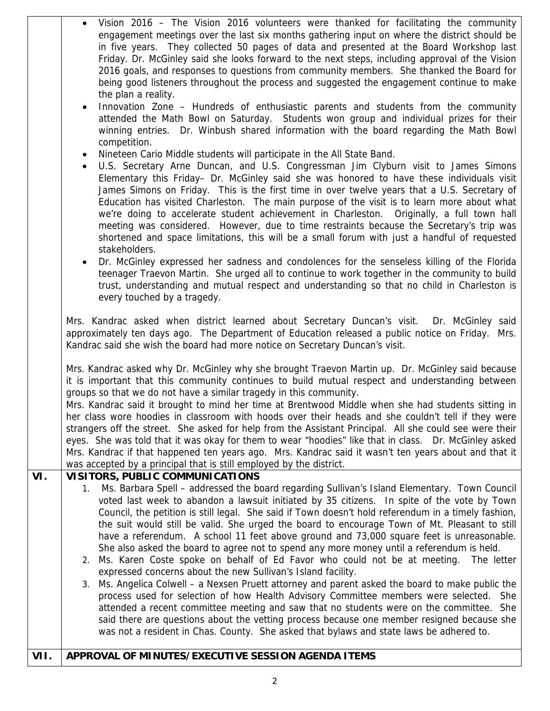|      | Vision 2016 – The Vision 2016 volunteers were thanked for facilitating the community<br>engagement meetings over the last six months gathering input on where the district should be<br>in five years. They collected 50 pages of data and presented at the Board Workshop last<br>Friday. Dr. McGinley said she looks forward to the next steps, including approval of the Vision<br>2016 goals, and responses to questions from community members. She thanked the Board for<br>being good listeners throughout the process and suggested the engagement continue to make<br>the plan a reality.<br>Innovation Zone - Hundreds of enthusiastic parents and students from the community<br>$\bullet$<br>attended the Math Bowl on Saturday. Students won group and individual prizes for their<br>winning entries. Dr. Winbush shared information with the board regarding the Math Bowl<br>competition.<br>Nineteen Cario Middle students will participate in the All State Band.<br>$\bullet$<br>U.S. Secretary Arne Duncan, and U.S. Congressman Jim Clyburn visit to James Simons<br>$\bullet$<br>Elementary this Friday- Dr. McGinley said she was honored to have these individuals visit<br>James Simons on Friday. This is the first time in over twelve years that a U.S. Secretary of<br>Education has visited Charleston. The main purpose of the visit is to learn more about what<br>we're doing to accelerate student achievement in Charleston. Originally, a full town hall<br>meeting was considered. However, due to time restraints because the Secretary's trip was<br>shortened and space limitations, this will be a small forum with just a handful of requested<br>stakeholders.<br>Dr. McGinley expressed her sadness and condolences for the senseless killing of the Florida<br>$\bullet$<br>teenager Traevon Martin. She urged all to continue to work together in the community to build<br>trust, understanding and mutual respect and understanding so that no child in Charleston is<br>every touched by a tragedy. |
|------|------------------------------------------------------------------------------------------------------------------------------------------------------------------------------------------------------------------------------------------------------------------------------------------------------------------------------------------------------------------------------------------------------------------------------------------------------------------------------------------------------------------------------------------------------------------------------------------------------------------------------------------------------------------------------------------------------------------------------------------------------------------------------------------------------------------------------------------------------------------------------------------------------------------------------------------------------------------------------------------------------------------------------------------------------------------------------------------------------------------------------------------------------------------------------------------------------------------------------------------------------------------------------------------------------------------------------------------------------------------------------------------------------------------------------------------------------------------------------------------------------------------------------------------------------------------------------------------------------------------------------------------------------------------------------------------------------------------------------------------------------------------------------------------------------------------------------------------------------------------------------------------------------------------------------------------------------------------------------------------------------------------------------------------------------|
|      | Mrs. Kandrac asked when district learned about Secretary Duncan's visit. Dr. McGinley said<br>approximately ten days ago. The Department of Education released a public notice on Friday. Mrs.<br>Kandrac said she wish the board had more notice on Secretary Duncan's visit.                                                                                                                                                                                                                                                                                                                                                                                                                                                                                                                                                                                                                                                                                                                                                                                                                                                                                                                                                                                                                                                                                                                                                                                                                                                                                                                                                                                                                                                                                                                                                                                                                                                                                                                                                                       |
|      | Mrs. Kandrac asked why Dr. McGinley why she brought Traevon Martin up. Dr. McGinley said because<br>it is important that this community continues to build mutual respect and understanding between<br>groups so that we do not have a similar tragedy in this community.<br>Mrs. Kandrac said it brought to mind her time at Brentwood Middle when she had students sitting in<br>her class wore hoodies in classroom with hoods over their heads and she couldn't tell if they were<br>strangers off the street. She asked for help from the Assistant Principal. All she could see were their<br>eyes. She was told that it was okay for them to wear "hoodies" like that in class. Dr. McGinley asked<br>Mrs. Kandrac if that happened ten years ago. Mrs. Kandrac said it wasn't ten years about and that it<br>was accepted by a principal that is still employed by the district.                                                                                                                                                                                                                                                                                                                                                                                                                                                                                                                                                                                                                                                                                                                                                                                                                                                                                                                                                                                                                                                                                                                                                             |
| VI.  | <b>VISITORS, PUBLIC COMMUNICATIONS</b><br>Ms. Barbara Spell - addressed the board regarding Sullivan's Island Elementary. Town Council<br>1.<br>voted last week to abandon a lawsuit initiated by 35 citizens. In spite of the vote by Town<br>Council, the petition is still legal. She said if Town doesn't hold referendum in a timely fashion,<br>the suit would still be valid. She urged the board to encourage Town of Mt. Pleasant to still<br>have a referendum. A school 11 feet above ground and 73,000 square feet is unreasonable.<br>She also asked the board to agree not to spend any more money until a referendum is held.<br>2. Ms. Karen Coste spoke on behalf of Ed Favor who could not be at meeting. The letter<br>expressed concerns about the new Sullivan's Island facility.<br>Ms. Angelica Colwell – a Nexsen Pruett attorney and parent asked the board to make public the<br>3.<br>process used for selection of how Health Advisory Committee members were selected. She<br>attended a recent committee meeting and saw that no students were on the committee. She<br>said there are questions about the vetting process because one member resigned because she                                                                                                                                                                                                                                                                                                                                                                                                                                                                                                                                                                                                                                                                                                                                                                                                                                                     |
| VII. | was not a resident in Chas. County. She asked that bylaws and state laws be adhered to.<br>APPROVAL OF MINUTES/EXECUTIVE SESSION AGENDA ITEMS                                                                                                                                                                                                                                                                                                                                                                                                                                                                                                                                                                                                                                                                                                                                                                                                                                                                                                                                                                                                                                                                                                                                                                                                                                                                                                                                                                                                                                                                                                                                                                                                                                                                                                                                                                                                                                                                                                        |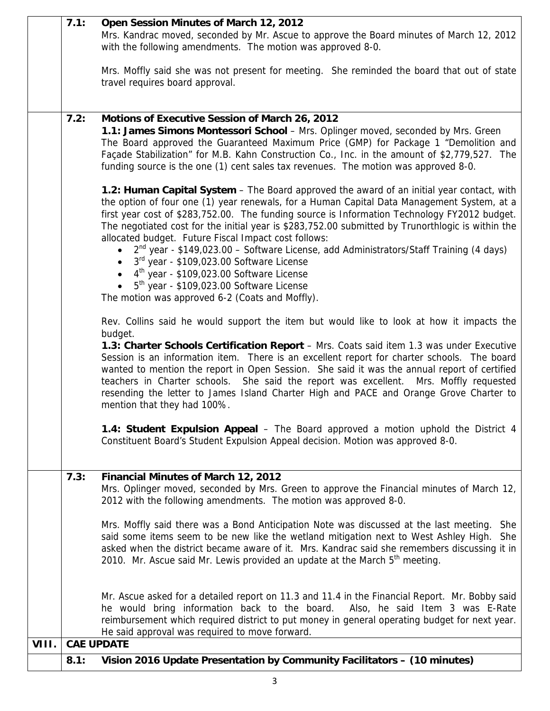|       | 7.1: | Open Session Minutes of March 12, 2012<br>Mrs. Kandrac moved, seconded by Mr. Ascue to approve the Board minutes of March 12, 2012<br>with the following amendments. The motion was approved 8-0.                                                                                                                                                                                                                                                                                                                                                |
|-------|------|--------------------------------------------------------------------------------------------------------------------------------------------------------------------------------------------------------------------------------------------------------------------------------------------------------------------------------------------------------------------------------------------------------------------------------------------------------------------------------------------------------------------------------------------------|
|       |      | Mrs. Moffly said she was not present for meeting. She reminded the board that out of state<br>travel requires board approval.                                                                                                                                                                                                                                                                                                                                                                                                                    |
|       | 7.2: | Motions of Executive Session of March 26, 2012                                                                                                                                                                                                                                                                                                                                                                                                                                                                                                   |
|       |      | 1.1: James Simons Montessori School - Mrs. Oplinger moved, seconded by Mrs. Green<br>The Board approved the Guaranteed Maximum Price (GMP) for Package 1 "Demolition and<br>Façade Stabilization" for M.B. Kahn Construction Co., Inc. in the amount of \$2,779,527. The<br>funding source is the one (1) cent sales tax revenues. The motion was approved 8-0.                                                                                                                                                                                  |
|       |      | 1.2: Human Capital System – The Board approved the award of an initial year contact, with<br>the option of four one (1) year renewals, for a Human Capital Data Management System, at a<br>first year cost of \$283,752.00. The funding source is Information Technology FY2012 budget.<br>The negotiated cost for the initial year is \$283,752.00 submitted by Trunorthlogic is within the<br>allocated budget. Future Fiscal Impact cost follows:<br>$2nd$ year - \$149,023.00 – Software License, add Administrators/Staff Training (4 days) |
|       |      | 3rd year - \$109,023.00 Software License<br>$\bullet$ 4 <sup>th</sup> year - \$109,023.00 Software License                                                                                                                                                                                                                                                                                                                                                                                                                                       |
|       |      | $5th$ year - \$109,023.00 Software License                                                                                                                                                                                                                                                                                                                                                                                                                                                                                                       |
|       |      | The motion was approved 6-2 (Coats and Moffly).                                                                                                                                                                                                                                                                                                                                                                                                                                                                                                  |
|       |      | Rev. Collins said he would support the item but would like to look at how it impacts the<br>budget.<br>1.3: Charter Schools Certification Report - Mrs. Coats said item 1.3 was under Executive                                                                                                                                                                                                                                                                                                                                                  |
|       |      | Session is an information item. There is an excellent report for charter schools. The board<br>wanted to mention the report in Open Session. She said it was the annual report of certified<br>teachers in Charter schools. She said the report was excellent. Mrs. Moffly requested<br>resending the letter to James Island Charter High and PACE and Orange Grove Charter to<br>mention that they had 100%.                                                                                                                                    |
|       |      | 1.4: Student Expulsion Appeal - The Board approved a motion uphold the District 4<br>Constituent Board's Student Expulsion Appeal decision. Motion was approved 8-0.                                                                                                                                                                                                                                                                                                                                                                             |
|       | 7.3: |                                                                                                                                                                                                                                                                                                                                                                                                                                                                                                                                                  |
|       |      | Financial Minutes of March 12, 2012<br>Mrs. Oplinger moved, seconded by Mrs. Green to approve the Financial minutes of March 12,<br>2012 with the following amendments. The motion was approved 8-0.                                                                                                                                                                                                                                                                                                                                             |
|       |      | Mrs. Moffly said there was a Bond Anticipation Note was discussed at the last meeting. She<br>said some items seem to be new like the wetland mitigation next to West Ashley High. She<br>asked when the district became aware of it. Mrs. Kandrac said she remembers discussing it in<br>2010. Mr. Ascue said Mr. Lewis provided an update at the March 5 <sup>th</sup> meeting.                                                                                                                                                                |
|       |      | Mr. Ascue asked for a detailed report on 11.3 and 11.4 in the Financial Report. Mr. Bobby said<br>he would bring information back to the board.<br>Also, he said Item 3 was E-Rate<br>reimbursement which required district to put money in general operating budget for next year.<br>He said approval was required to move forward.                                                                                                                                                                                                            |
| VIII. |      | <b>CAE UPDATE</b>                                                                                                                                                                                                                                                                                                                                                                                                                                                                                                                                |
|       | 8.1: | Vision 2016 Update Presentation by Community Facilitators - (10 minutes)                                                                                                                                                                                                                                                                                                                                                                                                                                                                         |

 $\perp$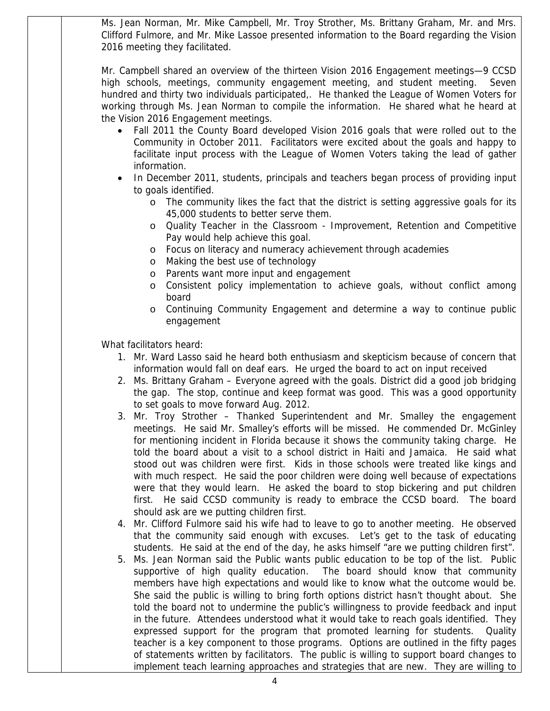Ms. Jean Norman, Mr. Mike Campbell, Mr. Troy Strother, Ms. Brittany Graham, Mr. and Mrs. Clifford Fulmore, and Mr. Mike Lassoe presented information to the Board regarding the Vision 2016 meeting they facilitated.

Mr. Campbell shared an overview of the thirteen Vision 2016 Engagement meetings—9 CCSD high schools, meetings, community engagement meeting, and student meeting. Seven hundred and thirty two individuals participated,. He thanked the League of Women Voters for working through Ms. Jean Norman to compile the information. He shared what he heard at the Vision 2016 Engagement meetings.

- Fall 2011 the County Board developed Vision 2016 goals that were rolled out to the Community in October 2011. Facilitators were excited about the goals and happy to facilitate input process with the League of Women Voters taking the lead of gather information.
- In December 2011, students, principals and teachers began process of providing input to goals identified.
	- o The community likes the fact that the district is setting aggressive goals for its 45,000 students to better serve them.
	- o Quality Teacher in the Classroom Improvement, Retention and Competitive Pay would help achieve this goal.
	- o Focus on literacy and numeracy achievement through academies
	- o Making the best use of technology
	- o Parents want more input and engagement
	- o Consistent policy implementation to achieve goals, without conflict among board
	- o Continuing Community Engagement and determine a way to continue public engagement

What facilitators heard:

- 1. Mr. Ward Lasso said he heard both enthusiasm and skepticism because of concern that information would fall on deaf ears. He urged the board to act on input received
- 2. Ms. Brittany Graham Everyone agreed with the goals. District did a good job bridging the gap. The stop, continue and keep format was good. This was a good opportunity to set goals to move forward Aug. 2012.
- 3. Mr. Troy Strother Thanked Superintendent and Mr. Smalley the engagement meetings. He said Mr. Smalley's efforts will be missed. He commended Dr. McGinley for mentioning incident in Florida because it shows the community taking charge. He told the board about a visit to a school district in Haiti and Jamaica. He said what stood out was children were first. Kids in those schools were treated like kings and with much respect. He said the poor children were doing well because of expectations were that they would learn. He asked the board to stop bickering and put children first. He said CCSD community is ready to embrace the CCSD board. The board should ask are we putting children first.
- 4. Mr. Clifford Fulmore said his wife had to leave to go to another meeting. He observed that the community said enough with excuses. Let's get to the task of educating students. He said at the end of the day, he asks himself "are we putting children first".
- 5. Ms. Jean Norman said the Public wants public education to be top of the list. Public supportive of high quality education. The board should know that community members have high expectations and would like to know what the outcome would be. She said the public is willing to bring forth options district hasn't thought about. She told the board not to undermine the public's willingness to provide feedback and input in the future. Attendees understood what it would take to reach goals identified. They expressed support for the program that promoted learning for students. Quality teacher is a key component to those programs. Options are outlined in the fifty pages of statements written by facilitators. The public is willing to support board changes to implement teach learning approaches and strategies that are new. They are willing to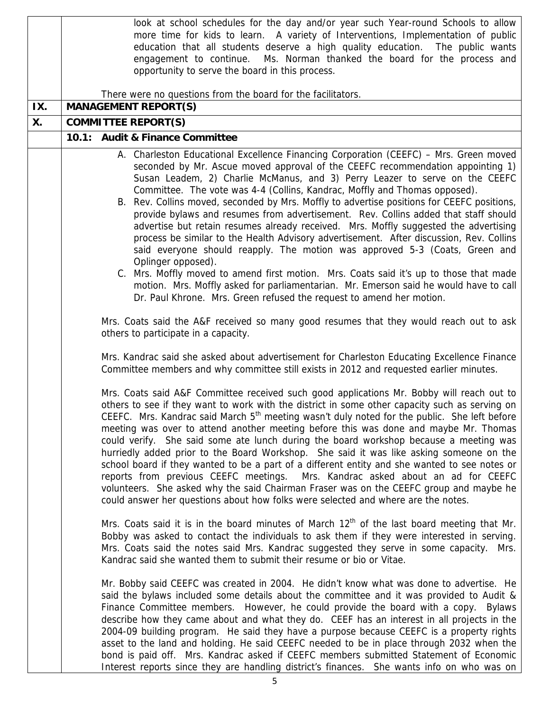|           | look at school schedules for the day and/or year such Year-round Schools to allow<br>more time for kids to learn. A variety of Interventions, Implementation of public                                                                                                                                                                                                                                                                                                                                                                                                                                                                                                                                                                                                                                                                                                                                                                                |
|-----------|-------------------------------------------------------------------------------------------------------------------------------------------------------------------------------------------------------------------------------------------------------------------------------------------------------------------------------------------------------------------------------------------------------------------------------------------------------------------------------------------------------------------------------------------------------------------------------------------------------------------------------------------------------------------------------------------------------------------------------------------------------------------------------------------------------------------------------------------------------------------------------------------------------------------------------------------------------|
|           | education that all students deserve a high quality education. The public wants<br>engagement to continue. Ms. Norman thanked the board for the process and                                                                                                                                                                                                                                                                                                                                                                                                                                                                                                                                                                                                                                                                                                                                                                                            |
|           | opportunity to serve the board in this process.                                                                                                                                                                                                                                                                                                                                                                                                                                                                                                                                                                                                                                                                                                                                                                                                                                                                                                       |
|           | There were no questions from the board for the facilitators.                                                                                                                                                                                                                                                                                                                                                                                                                                                                                                                                                                                                                                                                                                                                                                                                                                                                                          |
| IX.       | <b>MANAGEMENT REPORT(S)</b>                                                                                                                                                                                                                                                                                                                                                                                                                                                                                                                                                                                                                                                                                                                                                                                                                                                                                                                           |
| <b>X.</b> | <b>COMMITTEE REPORT(S)</b>                                                                                                                                                                                                                                                                                                                                                                                                                                                                                                                                                                                                                                                                                                                                                                                                                                                                                                                            |
|           | 10.1: Audit & Finance Committee                                                                                                                                                                                                                                                                                                                                                                                                                                                                                                                                                                                                                                                                                                                                                                                                                                                                                                                       |
|           | A. Charleston Educational Excellence Financing Corporation (CEEFC) - Mrs. Green moved<br>seconded by Mr. Ascue moved approval of the CEEFC recommendation appointing 1)<br>Susan Leadem, 2) Charlie McManus, and 3) Perry Leazer to serve on the CEEFC<br>Committee. The vote was 4-4 (Collins, Kandrac, Moffly and Thomas opposed).                                                                                                                                                                                                                                                                                                                                                                                                                                                                                                                                                                                                                  |
|           | B. Rev. Collins moved, seconded by Mrs. Moffly to advertise positions for CEEFC positions,<br>provide bylaws and resumes from advertisement. Rev. Collins added that staff should<br>advertise but retain resumes already received. Mrs. Moffly suggested the advertising<br>process be similar to the Health Advisory advertisement. After discussion, Rev. Collins<br>said everyone should reapply. The motion was approved 5-3 (Coats, Green and<br>Oplinger opposed).                                                                                                                                                                                                                                                                                                                                                                                                                                                                             |
|           | C. Mrs. Moffly moved to amend first motion. Mrs. Coats said it's up to those that made<br>motion. Mrs. Moffly asked for parliamentarian. Mr. Emerson said he would have to call<br>Dr. Paul Khrone. Mrs. Green refused the request to amend her motion.                                                                                                                                                                                                                                                                                                                                                                                                                                                                                                                                                                                                                                                                                               |
|           | Mrs. Coats said the A&F received so many good resumes that they would reach out to ask<br>others to participate in a capacity.                                                                                                                                                                                                                                                                                                                                                                                                                                                                                                                                                                                                                                                                                                                                                                                                                        |
|           | Mrs. Kandrac said she asked about advertisement for Charleston Educating Excellence Finance<br>Committee members and why committee still exists in 2012 and requested earlier minutes.                                                                                                                                                                                                                                                                                                                                                                                                                                                                                                                                                                                                                                                                                                                                                                |
|           | Mrs. Coats said A&F Committee received such good applications Mr. Bobby will reach out to<br>others to see if they want to work with the district in some other capacity such as serving on<br>CEEFC. Mrs. Kandrac said March 5 <sup>th</sup> meeting wasn't duly noted for the public. She left before<br>meeting was over to attend another meeting before this was done and maybe Mr. Thomas<br>could verify. She said some ate lunch during the board workshop because a meeting was<br>hurriedly added prior to the Board Workshop. She said it was like asking someone on the<br>school board if they wanted to be a part of a different entity and she wanted to see notes or<br>reports from previous CEEFC meetings. Mrs. Kandrac asked about an ad for CEEFC<br>volunteers. She asked why the said Chairman Fraser was on the CEEFC group and maybe he<br>could answer her questions about how folks were selected and where are the notes. |
|           | Mrs. Coats said it is in the board minutes of March 12 <sup>th</sup> of the last board meeting that Mr.<br>Bobby was asked to contact the individuals to ask them if they were interested in serving.<br>Mrs. Coats said the notes said Mrs. Kandrac suggested they serve in some capacity. Mrs.<br>Kandrac said she wanted them to submit their resume or bio or Vitae.                                                                                                                                                                                                                                                                                                                                                                                                                                                                                                                                                                              |
|           | Mr. Bobby said CEEFC was created in 2004. He didn't know what was done to advertise. He<br>said the bylaws included some details about the committee and it was provided to Audit &<br>Finance Committee members. However, he could provide the board with a copy. Bylaws<br>describe how they came about and what they do. CEEF has an interest in all projects in the<br>2004-09 building program. He said they have a purpose because CEEFC is a property rights<br>asset to the land and holding. He said CEEFC needed to be in place through 2032 when the<br>bond is paid off. Mrs. Kandrac asked if CEEFC members submitted Statement of Economic<br>Interest reports since they are handling district's finances. She wants info on who was on                                                                                                                                                                                                |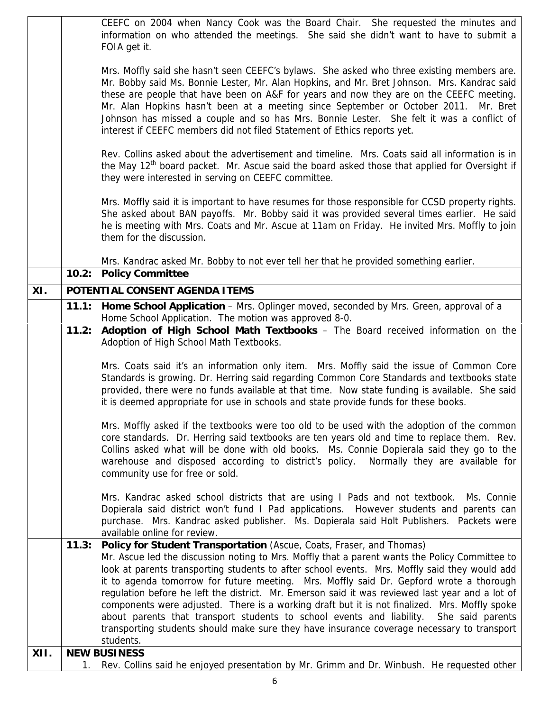|      |       | CEEFC on 2004 when Nancy Cook was the Board Chair. She requested the minutes and                                                                                                        |
|------|-------|-----------------------------------------------------------------------------------------------------------------------------------------------------------------------------------------|
|      |       | information on who attended the meetings. She said she didn't want to have to submit a<br>FOIA get it.                                                                                  |
|      |       |                                                                                                                                                                                         |
|      |       | Mrs. Moffly said she hasn't seen CEEFC's bylaws. She asked who three existing members are.                                                                                              |
|      |       | Mr. Bobby said Ms. Bonnie Lester, Mr. Alan Hopkins, and Mr. Bret Johnson. Mrs. Kandrac said<br>these are people that have been on A&F for years and now they are on the CEEFC meeting.  |
|      |       | Mr. Alan Hopkins hasn't been at a meeting since September or October 2011. Mr. Bret                                                                                                     |
|      |       | Johnson has missed a couple and so has Mrs. Bonnie Lester. She felt it was a conflict of                                                                                                |
|      |       | interest if CEEFC members did not filed Statement of Ethics reports yet.                                                                                                                |
|      |       | Rev. Collins asked about the advertisement and timeline. Mrs. Coats said all information is in                                                                                          |
|      |       | the May 12 <sup>th</sup> board packet. Mr. Ascue said the board asked those that applied for Oversight if                                                                               |
|      |       | they were interested in serving on CEEFC committee.                                                                                                                                     |
|      |       | Mrs. Moffly said it is important to have resumes for those responsible for CCSD property rights.                                                                                        |
|      |       | She asked about BAN payoffs. Mr. Bobby said it was provided several times earlier. He said                                                                                              |
|      |       | he is meeting with Mrs. Coats and Mr. Ascue at 11am on Friday. He invited Mrs. Moffly to join<br>them for the discussion.                                                               |
|      |       |                                                                                                                                                                                         |
|      | 10.2: | Mrs. Kandrac asked Mr. Bobby to not ever tell her that he provided something earlier.<br><b>Policy Committee</b>                                                                        |
| XI.  |       | POTENTIAL CONSENT AGENDA ITEMS                                                                                                                                                          |
|      | 11.1: | Home School Application - Mrs. Oplinger moved, seconded by Mrs. Green, approval of a                                                                                                    |
|      |       | Home School Application. The motion was approved 8-0.                                                                                                                                   |
|      |       | 11.2: Adoption of High School Math Textbooks - The Board received information on the                                                                                                    |
|      |       | Adoption of High School Math Textbooks.                                                                                                                                                 |
|      |       | Mrs. Coats said it's an information only item. Mrs. Moffly said the issue of Common Core                                                                                                |
|      |       | Standards is growing. Dr. Herring said regarding Common Core Standards and textbooks state                                                                                              |
|      |       | provided, there were no funds available at that time. Now state funding is available. She said<br>it is deemed appropriate for use in schools and state provide funds for these books.  |
|      |       |                                                                                                                                                                                         |
|      |       | Mrs. Moffly asked if the textbooks were too old to be used with the adoption of the common                                                                                              |
|      |       | core standards. Dr. Herring said textbooks are ten years old and time to replace them. Rev.<br>Collins asked what will be done with old books. Ms. Connie Dopierala said they go to the |
|      |       | warehouse and disposed according to district's policy. Normally they are available for                                                                                                  |
|      |       | community use for free or sold.                                                                                                                                                         |
|      |       |                                                                                                                                                                                         |
|      |       | Mrs. Kandrac asked school districts that are using I Pads and not textbook. Ms. Connie<br>Dopierala said district won't fund I Pad applications. However students and parents can       |
|      |       | purchase. Mrs. Kandrac asked publisher. Ms. Dopierala said Holt Publishers. Packets were                                                                                                |
|      |       | available online for review.                                                                                                                                                            |
|      | 11.3: | Policy for Student Transportation (Ascue, Coats, Fraser, and Thomas)<br>Mr. Ascue led the discussion noting to Mrs. Moffly that a parent wants the Policy Committee to                  |
|      |       | look at parents transporting students to after school events. Mrs. Moffly said they would add                                                                                           |
|      |       | it to agenda tomorrow for future meeting. Mrs. Moffly said Dr. Gepford wrote a thorough                                                                                                 |
|      |       |                                                                                                                                                                                         |
|      |       | regulation before he left the district. Mr. Emerson said it was reviewed last year and a lot of                                                                                         |
|      |       | components were adjusted. There is a working draft but it is not finalized. Mrs. Moffly spoke                                                                                           |
|      |       | about parents that transport students to school events and liability.<br>She said parents                                                                                               |
|      |       | transporting students should make sure they have insurance coverage necessary to transport<br>students.                                                                                 |
| XII. | 1.    | <b>NEW BUSINESS</b><br>Rev. Collins said he enjoyed presentation by Mr. Grimm and Dr. Winbush. He requested other                                                                       |